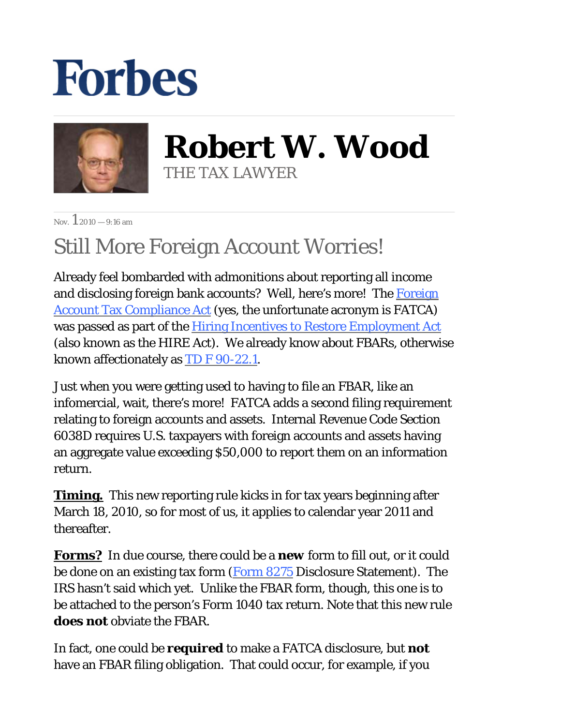## **Forbes**



**Robert W. Wood** THE TAX LAWYER

Nov.  $12010 - 9:16$  am

## Still More Foreign Account Worries!

Already feel bombarded with admonitions about reporting all income and disclosing foreign bank accounts? Well, here's more! The Foreign Account Tax Compliance Act (yes, the unfortunate acronym is FATCA) was passed as part of the <u>Hiring Incentives to Restore Employment Act</u> (also known as the HIRE Act). We already know about FBARs, otherwise known affectionately as TD F 90-22.1.

Just when you were getting used to having to file an FBAR, like an infomercial, wait, there's more! FATCA adds a second filing requirement relating to foreign accounts and assets. Internal Revenue Code Section 6038D requires U.S. taxpayers with foreign accounts and assets having an aggregate value exceeding \$50,000 to report them on an information return.

**Timing.** This new reporting rule kicks in for tax years beginning after March 18, 2010, so for most of us, it applies to calendar year 2011 and thereafter.

**Forms?** In due course, there could be a *new* form to fill out, or it could be done on an existing tax form (Form 8275 Disclosure Statement). The IRS hasn't said which yet. Unlike the FBAR form, though, this one is to be attached to the person's Form 1040 tax return. Note that this new rule *does not* obviate the FBAR.

In fact, one could be *required* to make a FATCA disclosure, but *not*  have an FBAR filing obligation. That could occur, for example, if you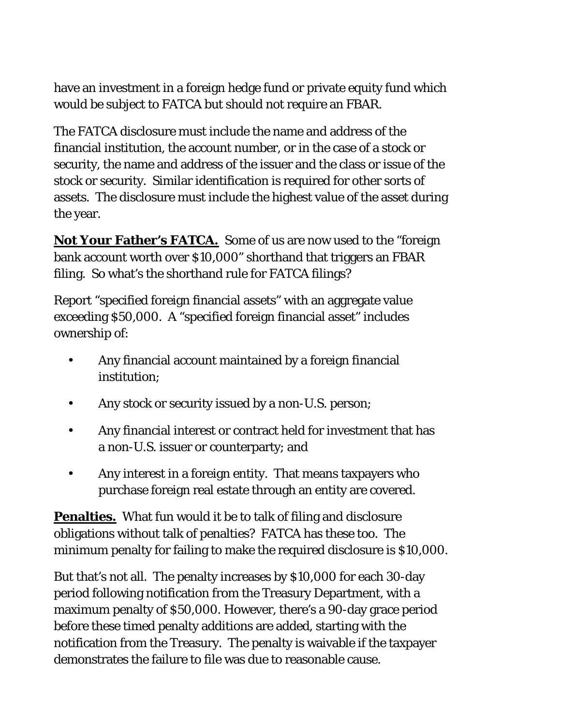have an investment in a foreign hedge fund or private equity fund which would be subject to FATCA but should not require an FBAR.

The FATCA disclosure must include the name and address of the financial institution, the account number, or in the case of a stock or security, the name and address of the issuer and the class or issue of the stock or security. Similar identification is required for other sorts of assets. The disclosure must include the highest value of the asset during the year.

**Not Your Father's FATCA.** Some of us are now used to the "foreign bank account worth over \$10,000" shorthand that triggers an FBAR filing. So what's the shorthand rule for FATCA filings?

Report "specified foreign financial assets" with an aggregate value exceeding \$50,000. A "specified foreign financial asset" includes ownership of:

- Any financial account maintained by a foreign financial institution; •
- Any stock or security issued by a non-U.S. person;
- Any financial interest or contract held for investment that has a non-U.S. issuer or counterparty; and •
- Any interest in a foreign entity. That means taxpayers who purchase foreign real estate through an entity are covered. •

**Penalties.** What fun would it be to talk of filing and disclosure obligations without talk of penalties? FATCA has these too. The minimum penalty for failing to make the required disclosure is \$10,000.

But that's not all. The penalty increases by \$10,000 for each 30-day period following notification from the Treasury Department, with a maximum penalty of \$50,000. However, there's a 90-day grace period before these timed penalty additions are added, starting with the notification from the Treasury. The penalty is waivable if the taxpayer demonstrates the failure to file was due to reasonable cause.